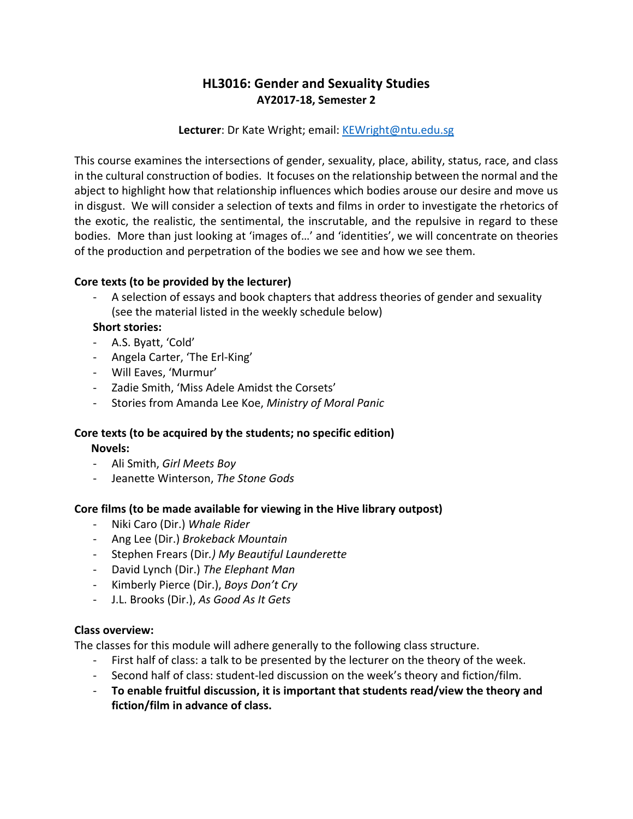# **HL3016: Gender and Sexuality Studies AY2017-18, Semester 2**

## **Lecturer**: Dr Kate Wright; email: [KEWright@ntu.edu.sg](mailto:KEWright@ntu.edu.sg)

This course examines the intersections of gender, sexuality, place, ability, status, race, and class in the cultural construction of bodies. It focuses on the relationship between the normal and the abject to highlight how that relationship influences which bodies arouse our desire and move us in disgust. We will consider a selection of texts and films in order to investigate the rhetorics of the exotic, the realistic, the sentimental, the inscrutable, and the repulsive in regard to these bodies. More than just looking at 'images of…' and 'identities', we will concentrate on theories of the production and perpetration of the bodies we see and how we see them.

## **Core texts (to be provided by the lecturer)**

A selection of essays and book chapters that address theories of gender and sexuality (see the material listed in the weekly schedule below)

## **Short stories:**

- A.S. Byatt, 'Cold'
- Angela Carter, 'The Erl-King'
- Will Eaves, 'Murmur'
- Zadie Smith, 'Miss Adele Amidst the Corsets'
- Stories from Amanda Lee Koe, *Ministry of Moral Panic*

#### **Core texts (to be acquired by the students; no specific edition) Novels:**

- Ali Smith, *Girl Meets Boy*
- Jeanette Winterson, *The Stone Gods*

### **Core films (to be made available for viewing in the Hive library outpost)**

- Niki Caro (Dir.) *Whale Rider*
- Ang Lee (Dir.) *Brokeback Mountain*
- Stephen Frears (Dir*.) My Beautiful Launderette*
- David Lynch (Dir.) *The Elephant Man*
- Kimberly Pierce (Dir.), *Boys Don't Cry*
- J.L. Brooks (Dir.), *As Good As It Gets*

### **Class overview:**

The classes for this module will adhere generally to the following class structure.

- First half of class: a talk to be presented by the lecturer on the theory of the week.
- Second half of class: student-led discussion on the week's theory and fiction/film.
- **To enable fruitful discussion, it is important that students read/view the theory and fiction/film in advance of class.**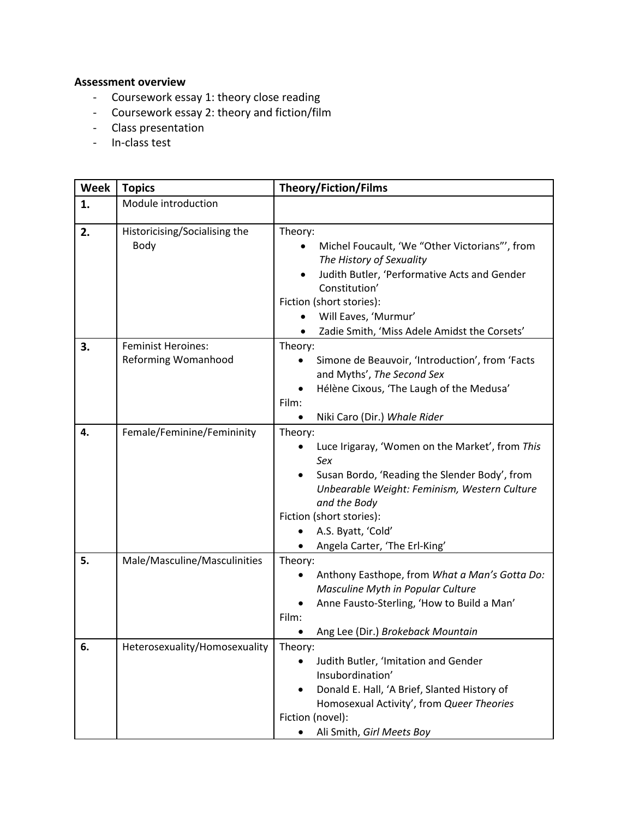# **Assessment overview**

- Coursework essay 1: theory close reading
- Coursework essay 2: theory and fiction/film
- Class presentation
- In-class test

| <b>Week</b> | <b>Topics</b>                                    | <b>Theory/Fiction/Films</b>                                                                                                                                                                                                                                             |
|-------------|--------------------------------------------------|-------------------------------------------------------------------------------------------------------------------------------------------------------------------------------------------------------------------------------------------------------------------------|
| 1.          | Module introduction                              |                                                                                                                                                                                                                                                                         |
| 2.          | Historicising/Socialising the<br>Body            | Theory:<br>Michel Foucault, 'We "Other Victorians"', from<br>The History of Sexuality<br>Judith Butler, 'Performative Acts and Gender<br>$\bullet$<br>Constitution'<br>Fiction (short stories):<br>Will Eaves, 'Murmur'<br>Zadie Smith, 'Miss Adele Amidst the Corsets' |
| 3.          | <b>Feminist Heroines:</b><br>Reforming Womanhood | Theory:<br>Simone de Beauvoir, 'Introduction', from 'Facts<br>٠<br>and Myths', The Second Sex<br>Hélène Cixous, 'The Laugh of the Medusa'<br>Film:<br>Niki Caro (Dir.) Whale Rider<br>$\bullet$                                                                         |
| 4.          | Female/Feminine/Femininity                       | Theory:<br>Luce Irigaray, 'Women on the Market', from This<br>Sex<br>Susan Bordo, 'Reading the Slender Body', from<br>Unbearable Weight: Feminism, Western Culture<br>and the Body<br>Fiction (short stories):<br>A.S. Byatt, 'Cold'<br>Angela Carter, 'The Erl-King'   |
| 5.          | Male/Masculine/Masculinities                     | Theory:<br>Anthony Easthope, from What a Man's Gotta Do:<br>Masculine Myth in Popular Culture<br>Anne Fausto-Sterling, 'How to Build a Man'<br>Film:<br>Ang Lee (Dir.) Brokeback Mountain                                                                               |
| 6.          | Heterosexuality/Homosexuality                    | Theory:<br>Judith Butler, 'Imitation and Gender<br>Insubordination'<br>Donald E. Hall, 'A Brief, Slanted History of<br>Homosexual Activity', from Queer Theories<br>Fiction (novel):<br>Ali Smith, Girl Meets Boy<br>٠                                                  |